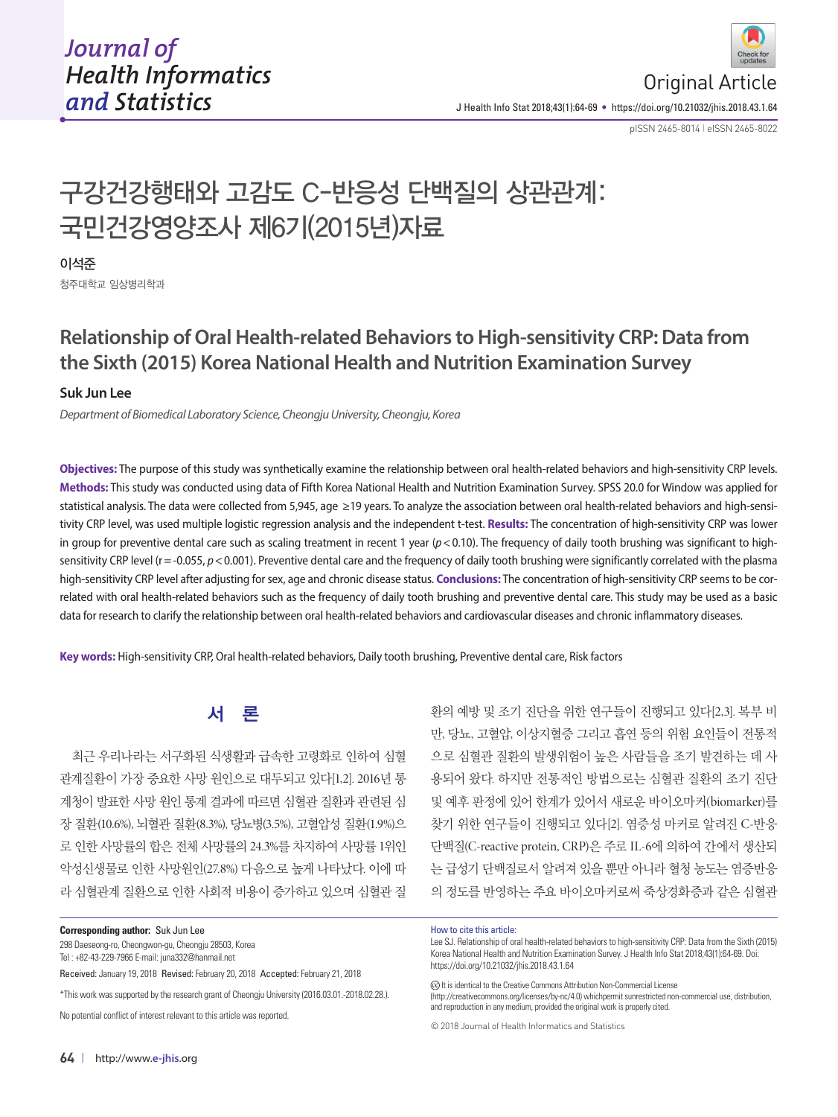

J Health Info Stat 2018;43(1):64-69 • https://doi.org/10.21032/jhis.2018.43.1.64

pISSN 2465-8014 **|** eISSN 2465-8022

# 구강건강행태와 고감도 C-반응성 단백질의 상관관계: 국민건강영양조사 제6기(2015년)자료

#### 이석준

청주대학교 임상병리학과

# **Relationship of Oral Health-related Behaviors to High-sensitivity CRP: Data from the Sixth (2015) Korea National Health and Nutrition Examination Survey**

#### **Suk Jun Lee**

*Department of Biomedical Laboratory Science, Cheongju University, Cheongju, Korea*

**Objectives:** The purpose of this study was synthetically examine the relationship between oral health-related behaviors and high-sensitivity CRP levels. **Methods:** This study was conducted using data of Fifth Korea National Health and Nutrition Examination Survey. SPSS 20.0 for Window was applied for statistical analysis. The data were collected from 5,945, age ≥19 years. To analyze the association between oral health-related behaviors and high-sensitivity CRP level, was used multiple logistic regression analysis and the independent t-test. **Results:** The concentration of high-sensitivity CRP was lower in group for preventive dental care such as scaling treatment in recent 1 year ( $p$  < 0.10). The frequency of daily tooth brushing was significant to highsensitivity CRP level (r = -0.055,  $p < 0.001$ ). Preventive dental care and the frequency of daily tooth brushing were significantly correlated with the plasma high-sensitivity CRP level after adjusting for sex, age and chronic disease status. **Conclusions:** The concentration of high-sensitivity CRP seems to be correlated with oral health-related behaviors such as the frequency of daily tooth brushing and preventive dental care. This study may be used as a basic data for research to clarify the relationship between oral health-related behaviors and cardiovascular diseases and chronic inflammatory diseases.

**Key words:** High-sensitivity CRP, Oral health-related behaviors, Daily tooth brushing, Preventive dental care, Risk factors

# 서 론

최근 우리나라는 서구화된 식생활과 급속한 고령화로 인하여 심혈 관계질환이 가장 중요한 사망 원인으로 대두되고 있다[1,2]. 2016년 통 계청이 발표한 사망 원인 통계 결과에 따르면 심혈관 질환과 관련된 심 장 질환(10.6%), 뇌혈관 질환(8.3%), 당뇨병(3.5%), 고혈압성 질환(1.9%)으 로 인한 사망률의 합은 전체 사망률의 24.3%를 차지하여 사망률 1위인 악성신생물로 인한 사망원인(27.8%) 다음으로 높게 나타났다. 이에 따 라 심혈관계 질환으로 인한 사회적 비용이 증가하고 있으며 심혈관 질

298 Daeseong-ro, Cheongwon-gu, Cheongju 28503, Korea Tel : +82-43-229-7966 E-mail: juna332@hanmail.net

Received: January 19, 2018 Revised: February 20, 2018 Accepted: February 21, 2018

\*This work was supported by the research grant of Cheongju University (2016.03.01.-2018.02.28.).

No potential conflict of interest relevant to this article was reported.

만, 당뇨, 고혈압, 이상지혈증 그리고 흡연 등의 위험 요인들이 전통적 으로 심혈관 질환의 발생위험이 높은 사람들을 조기 발견하는 데 사 용되어 왔다. 하지만 전통적인 방법으로는 심혈관 질환의 조기 진단 및 예후 판정에 있어 한계가 있어서 새로운 바이오마커(biomarker)를 찾기 위한 연구들이 진행되고 있다[2]. 염증성 마커로 알려진 C-반응 단백질(C-reactive protein, CRP)은 주로 IL-6에 의하여 간에서 생산되 는 급성기 단백질로서 알려져 있을 뿐만 아니라 혈청 농도는 염증반응 의 정도를 반영하는 주요 바이오마커로써 죽상경화증과 같은 심혈관

환의 예방 및 조기 진단을 위한 연구들이 진행되고 있다[2,3]. 복부 비

#### How to cite this article:

Lee SJ. Relationship of oral health-related behaviors to high-sensitivity CRP: Data from the Sixth (2015) Korea National Health and Nutrition Examination Survey. J Health Info Stat 2018;43(1):64-69. Doi: https://doi.org/10.21032/jhis.2018.43.1.64

(c) It is identical to the Creative Commons Attribution Non-Commercial License

(http://creativecommons.org/licenses/by-nc/4.0) whichpermit sunrestricted non-commercial use, distribution, and reproduction in any medium, provided the original work is properly cited.

© 2018 Journal of Health Informatics and Statistics

**Corresponding author:** Suk Jun Lee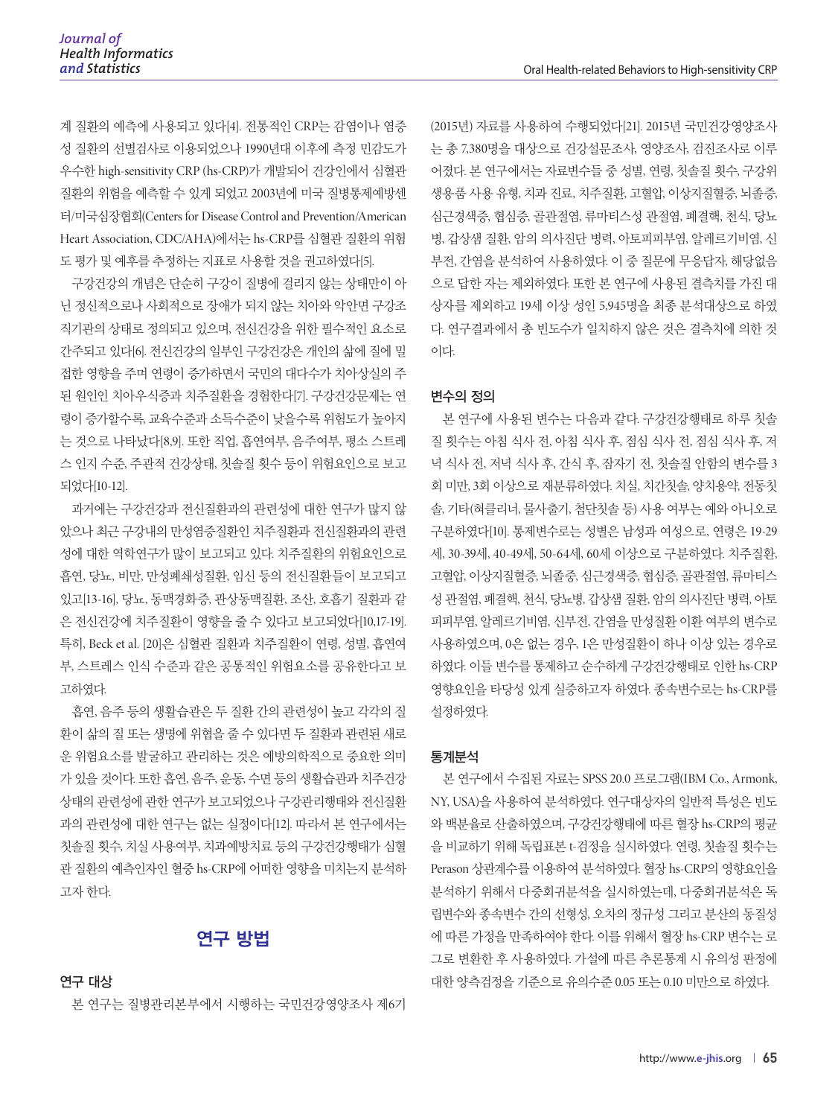계 질환의 예측에 사용되고 있다[4]. 전통적인 CRP는 감염이나 염증 성 질환의 선별검사로 이용되었으나 1990년대 이후에 측정 민감도가 우수한 high-sensitivity CRP (hs-CRP)가 개발되어 건강인에서 심혈관 질환의 위험을 예측할 수 있게 되었고 2003년에 미국 질병통제예방센 터/미국심장협회(Centers for Disease Control and Prevention/American Heart Association, CDC/AHA)에서는 hs-CRP를 심혈관 질환의 위험 도 평가 및 예후를 추정하는 지표로 사용할 것을 권고하였다[5].

구강건강의 개념은 단순히 구강이 질병에 걸리지 않는 상태만이 아 닌 정신적으로나 사회적으로 장애가 되지 않는 치아와 악안면 구강조 직기관의 상태로 정의되고 있으며, 전신건강을 위한 필수적인 요소로 간주되고 있다[6]. 전신건강의 일부인 구강건강은 개인의 삶에 질에 밀 접한 영향을 주며 연령이 증가하면서 국민의 대다수가 치아상실의 주 된 원인인 치아우식증과 치주질환을 경험한다[7]. 구강건강문제는 연 령이 증가할수록, 교육수준과 소득수준이 낮을수록 위험도가 높아지 는 것으로 나타났다[8,9]. 또한 직업, 흡연여부, 음주여부, 평소 스트레 스 인지 수준, 주관적 건강상태, 칫솔질 횟수 등이 위험요인으로 보고 되었다[10-12].

과거에는 구강건강과 전신질환과의 관련성에 대한 연구가 많지 않 았으나 최근 구강내의 만성염증질환인 치주질환과 전신질환과의 관련 성에 대한 역학연구가 많이 보고되고 있다. 치주질환의 위험요인으로 흡연, 당뇨, 비만, 만성폐쇄성질환, 임신 등의 전신질환들이 보고되고 있고[13-16], 당뇨, 동맥경화증, 관상동맥질환, 조산, 호흡기 질환과 같 은 전신건강에 치주질환이 영향을 줄 수 있다고 보고되었다[10,17-19]. 특히, Beck et al. [20]은 심혈관 질환과 치주질환이 연령, 성별, 흡연여 부, 스트레스 인식 수준과 같은 공통적인 위험요소를 공유한다고 보 고하였다.

흡연, 음주 등의 생활습관은 두 질환 간의 관련성이 높고 각각의 질 환이 삶의 질 또는 생명에 위협을 줄 수 있다면 두 질환과 관련된 새로 운 위험요소를 발굴하고 관리하는 것은 예방의학적으로 중요한 의미 가 있을 것이다. 또한 흡연, 음주, 운동, 수면 등의 생활습관과 치주건강 상태의 관련성에 관한 연구가 보고되었으나 구강관리행태와 전신질환 과의 관련성에 대한 연구는 없는 실정이다[12]. 따라서 본 연구에서는 칫솔질 횟수, 치실 사용여부, 치과예방치료 등의 구강건강행태가 심혈 관 질환의 예측인자인 혈중 hs-CRP에 어떠한 영향을 미치는지 분석하 고자 한다.

### 연구 방법

연구 대상

본 연구는 질병관리본부에서 시행하는 국민건강영양조사 제6기

(2015년) 자료를 사용하여 수행되었다[21]. 2015년 국민건강영양조사 는 총 7,380명을 대상으로 건강설문조사, 영양조사, 검진조사로 이루 어졌다. 본 연구에서는 자료변수들 중 성별, 연령, 칫솔질 횟수, 구강위 생용품 사용 유형, 치과 진료, 치주질환, 고혈압, 이상지질혈증, 뇌졸증, 심근경색증, 협심증, 골관절염, 류마티스성 관절염, 폐결핵, 천식, 당뇨 병, 갑상샘 질환, 암의 의사진단 병력, 아토피피부염, 알레르기비염, 신 부전, 간염을 분석하여 사용하였다. 이 중 질문에 무응답자, 해당없음 으로 답한 자는 제외하였다. 또한 본 연구에 사용된 결측치를 가진 대 상자를 제외하고 19세 이상 성인 5,945명을 최종 분석대상으로 하였 다. 연구결과에서 총 빈도수가 일치하지 않은 것은 결측치에 의한 것 이다.

#### 변수의 정의

본 연구에 사용된 변수는 다음과 같다. 구강건강행태로 하루 칫솔 질 횟수는 아침 식사 전, 아침 식사 후, 점심 식사 전, 점심 식사 후, 저 녁 식사 전, 저녁 식사 후, 간식 후, 잠자기 전, 칫솔질 안함의 변수를 3 회 미만, 3회 이상으로 재분류하였다. 치실, 치간칫솔, 양치용약, 전동칫 솔, 기타(혀클리너, 물사출기, 첨단칫솔 등) 사용 여부는 예와 아니오로 구분하였다[10]. 통제변수로는 성별은 남성과 여성으로, 연령은 19-29 세, 30-39세, 40-49세, 50-64세, 60세 이상으로 구분하였다. 치주질환, 고혈압, 이상지질혈증, 뇌졸중, 심근경색증, 협심증, 골관절염, 류마티스 성 관절염, 폐결핵, 천식, 당뇨병, 갑상샘 질환, 암의 의사진단 병력, 아토 피피부염, 알레르기비염, 신부전, 간염을 만성질환 이환 여부의 변수로 사용하였으며, 0은 없는 경우, 1은 만성질환이 하나 이상 있는 경우로 하였다. 이들 변수를 통제하고 순수하게 구강건강행태로 인한 hs-CRP 영향요인을 타당성 있게 실증하고자 하였다. 종속변수로는 hs-CRP를 설정하였다.

#### 통계분석

본 연구에서 수집된 자료는 SPSS 20.0 프로그램(IBM Co., Armonk, NY, USA)을 사용하여 분석하였다. 연구대상자의 일반적 특성은 빈도 와 백분율로 산출하였으며, 구강건강행태에 따른 혈장 hs-CRP의 평균 을 비교하기 위해 독립표본 t-검정을 실시하였다. 연령, 칫솔질 횟수는 Perason 상관계수를 이용하여 분석하였다. 혈장 hs-CRP의 영향요인을 분석하기 위해서 다중회귀분석을 실시하였는데, 다중회귀분석은 독 립변수와 종속변수 간의 선형성, 오차의 정규성 그리고 분산의 동질성 에 따른 가정을 만족하여야 한다. 이를 위해서 혈장 hs-CRP 변수는 로 그로 변환한 후 사용하였다. 가설에 따른 추론통계 시 유의성 판정에 대한 양측검정을 기준으로 유의수준 0.05 또는 0.10 미만으로 하였다.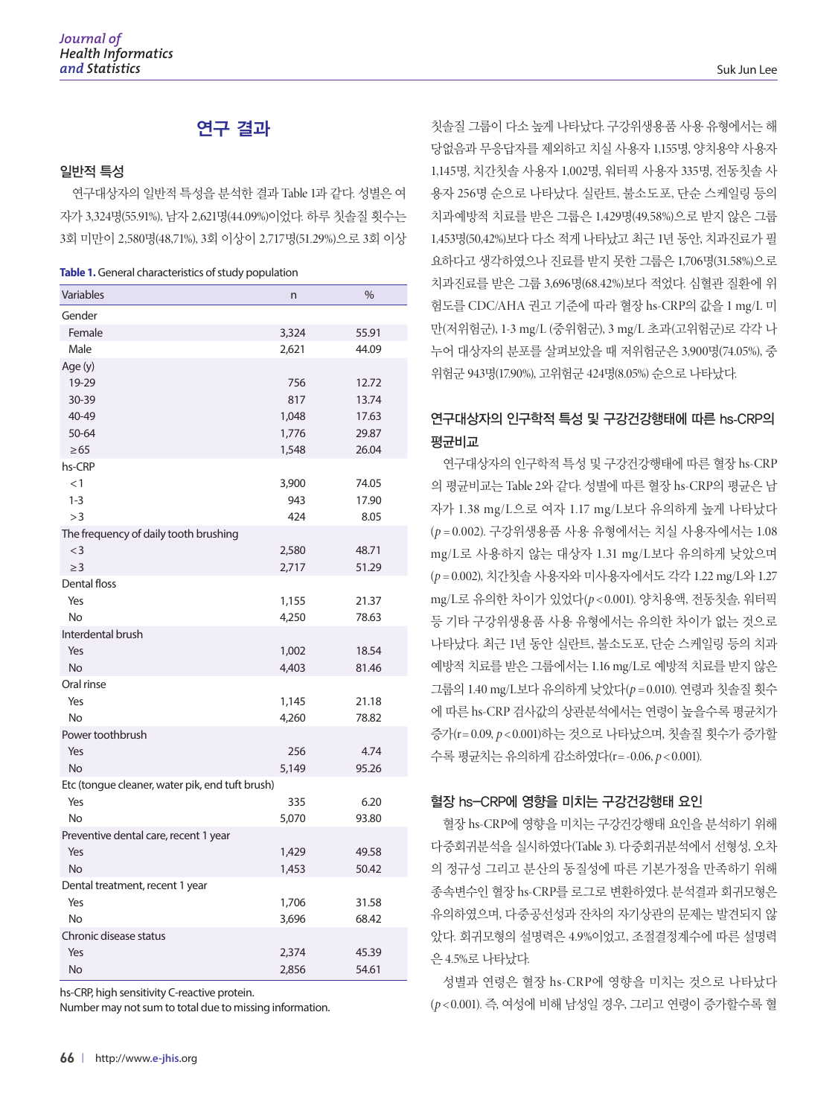# 연구 결과

#### 일반적 특성

연구대상자의 일반적 특성을 분석한 결과 Table 1과 같다. 성별은 여 자가 3,324명(55.91%), 남자 2,621명(44.09%)이었다. 하루 칫솔질 횟수는 3회 미만이 2,580명(48,71%), 3회 이상이 2,717명(51.29%)으로 3회 이상

|  | Table 1. General characteristics of study population |  |  |
|--|------------------------------------------------------|--|--|
|--|------------------------------------------------------|--|--|

| Variables                                       | n     | %     |
|-------------------------------------------------|-------|-------|
| Gender                                          |       |       |
| Female                                          | 3,324 | 55.91 |
| Male                                            | 2,621 | 44.09 |
| Age (y)                                         |       |       |
| 19-29                                           | 756   | 12.72 |
| 30-39                                           | 817   | 13.74 |
| 40-49                                           | 1,048 | 17.63 |
| 50-64                                           | 1,776 | 29.87 |
| $\geq 65$                                       | 1,548 | 26.04 |
| hs-CRP                                          |       |       |
| <1                                              | 3,900 | 74.05 |
| $1 - 3$                                         | 943   | 17.90 |
| >3                                              | 424   | 8.05  |
| The frequency of daily tooth brushing           |       |       |
| $<$ 3                                           | 2,580 | 48.71 |
| $\geq$ 3                                        | 2,717 | 51.29 |
| Dental floss                                    |       |       |
| Yes                                             | 1,155 | 21.37 |
| No                                              | 4,250 | 78.63 |
| Interdental brush                               |       |       |
| Yes                                             | 1,002 | 18.54 |
| No                                              | 4,403 | 81.46 |
| Oral rinse                                      |       |       |
| Yes                                             | 1,145 | 21.18 |
| No                                              | 4,260 | 78.82 |
| Power toothbrush                                |       |       |
| Yes                                             | 256   | 4.74  |
| <b>No</b>                                       | 5,149 | 95.26 |
| Etc (tongue cleaner, water pik, end tuft brush) |       |       |
| Yes                                             | 335   | 6.20  |
| <b>No</b>                                       | 5,070 | 93.80 |
| Preventive dental care, recent 1 year           |       |       |
| Yes                                             | 1,429 | 49.58 |
| No                                              | 1,453 | 50.42 |
| Dental treatment, recent 1 year                 |       |       |
| Yes                                             | 1,706 | 31.58 |
| No                                              | 3,696 | 68.42 |
| Chronic disease status                          |       |       |
| Yes                                             | 2,374 | 45.39 |
| No                                              | 2.856 | 54.61 |

hs-CRP, high sensitivity C-reactive protein.

Number may not sum to total due to missing information.

칫솔질 그룹이 다소 높게 나타났다. 구강위생용품 사용 유형에서는 해 당없음과 무응답자를 제외하고 치실 사용자 1,155명, 양치용약 사용자 1,145명, 치간칫솔 사용자 1,002명, 워터픽 사용자 335명, 전동칫솔 사 용자 256명 순으로 나타났다. 실란트, 불소도포, 단순 스케일링 등의 치과예방적 치료를 받은 그룹은 1,429명(49,58%)으로 받지 않은 그룹 1,453명(50,42%)보다 다소 적게 나타났고 최근 1년 동안, 치과진료가 필 요하다고 생각하였으나 진료를 받지 못한 그룹은 1,706명(31.58%)으로 치과진료를 받은 그룹 3,696명(68.42%)보다 적었다. 심혈관 질환에 위 험도를 CDC/AHA 권고 기준에 따라 혈장 hs-CRP의 값을 1 mg/L 미 만(저위험군), 1-3 mg/L (중위험군), 3 mg/L 초과(고위험군)로 각각 나 누어 대상자의 분포를 살펴보았을 때 저위험군은 3,900명(74.05%), 중 위험군 943명(17.90%), 고위험군 424명(8.05%) 순으로 나타났다.

# 연구대상자의 인구학적 특성 및 구강건강행태에 따른 hs-CRP의 평균비교

연구대상자의 인구학적 특성 및 구강건강행태에 따른 혈장 hs-CRP 의 평균비교는 Table 2와 같다. 성별에 따른 혈장 hs-CRP의 평균은 남 자가 1.38 mg/L으로 여자 1.17 mg/L보다 유의하게 높게 나타났다 (*p* = 0.002). 구강위생용품 사용 유형에서는 치실 사용자에서는 1.08 mg/L로 사용하지 않는 대상자 1.31 mg/L보다 유의하게 낮았으며 (*p* = 0.002), 치간칫솔 사용자와 미사용자에서도 각각 1.22 mg/L와 1.27 mg/L로 유의한 차이가 있었다(*p* < 0.001). 양치용액, 전동칫솔, 워터픽 등 기타 구강위생용품 사용 유형에서는 유의한 차이가 없는 것으로 나타났다. 최근 1년 동안 실란트, 불소도포, 단순 스케일링 등의 치과 예방적 치료를 받은 그룹에서는 1.16 mg/L로 예방적 치료를 받지 않은 그룹의 1.40 mg/L보다 유의하게 낮았다(*p* = 0.010). 연령과 칫솔질 횟수 에 따른 hs-CRP 검사값의 상관분석에서는 연령이 높을수록 평균치가 증가(r= 0.09, *p* < 0.001)하는 것으로 나타났으며, 칫솔질 횟수가 증가할 수록 평균치는 유의하게 감소하였다(r= -0.06, *p* < 0.001).

#### 혈장 hs-CRP에 영향을 미치는 구강건강행태 요인

혈장 hs-CRP에 영향을 미치는 구강건강행태 요인을 분석하기 위해 다중회귀분석을 실시하였다(Table 3). 다중회귀분석에서 선형성, 오차 의 정규성 그리고 분산의 동질성에 따른 기본가정을 만족하기 위해 종속변수인 혈장 hs-CRP를 로그로 변환하였다. 분석결과 회귀모형은 유의하였으며, 다중공선성과 잔차의 자기상관의 문제는 발견되지 않 았다. 회귀모형의 설명력은 4.9%이었고, 조절결정계수에 따른 설명력 은 4.5%로 나타났다.

성별과 연령은 혈장 hs-CRP에 영향을 미치는 것으로 나타났다 (*p* < 0.001). 즉, 여성에 비해 남성일 경우, 그리고 연령이 증가할수록 혈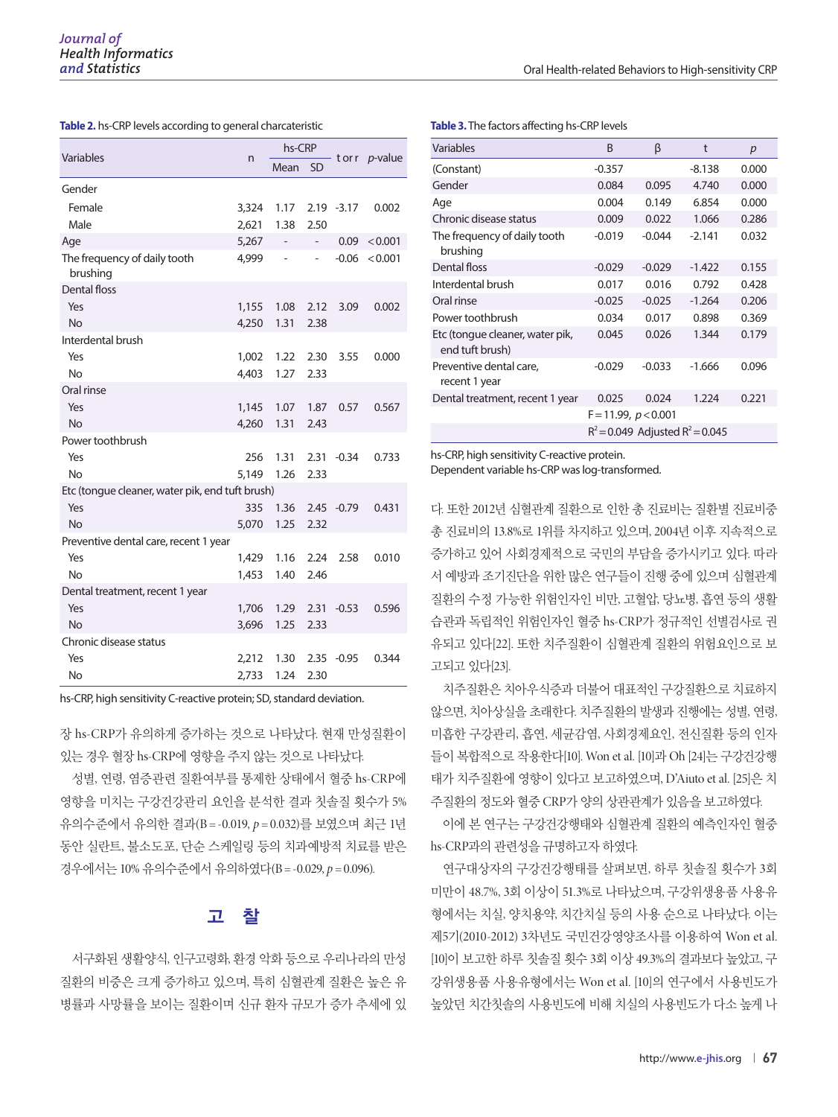| Variables                                       | n     | hs-CRP                   |           |               | -torr <i>p</i> -value |
|-------------------------------------------------|-------|--------------------------|-----------|---------------|-----------------------|
|                                                 |       | Mean                     | <b>SD</b> |               |                       |
| Gender                                          |       |                          |           |               |                       |
| Female                                          | 3,324 | 1.17                     |           | $2.19 - 3.17$ | 0.002                 |
| Male                                            | 2,621 | 1.38                     | 2.50      |               |                       |
| Age                                             | 5,267 | $\overline{\phantom{a}}$ | ÷,        | 0.09          | < 0.001               |
| The frequency of daily tooth<br>brushing        | 4,999 | ÷,                       |           | $-0.06$       | < 0.001               |
| <b>Dental floss</b>                             |       |                          |           |               |                       |
| Yes                                             | 1,155 | 1.08                     | 2.12      | 3.09          | 0.002                 |
| <b>No</b>                                       | 4,250 | 1.31                     | 2.38      |               |                       |
| Interdental brush                               |       |                          |           |               |                       |
| Yes                                             | 1,002 | 1.22                     | 2.30      | 3.55          | 0.000                 |
| <b>No</b>                                       | 4,403 | 1.27                     | 2.33      |               |                       |
| Oral rinse                                      |       |                          |           |               |                       |
| Yes                                             | 1,145 | 1.07                     | 1.87      | 0.57          | 0.567                 |
| <b>No</b>                                       | 4,260 | 1.31                     | 2.43      |               |                       |
| Power toothbrush                                |       |                          |           |               |                       |
| Yes                                             | 256   | 1.31                     | 2.31      | $-0.34$       | 0.733                 |
| <b>No</b>                                       | 5,149 | 1.26                     | 2.33      |               |                       |
| Etc (tongue cleaner, water pik, end tuft brush) |       |                          |           |               |                       |
| Yes                                             | 335   | 1.36                     |           | $2.45 -0.79$  | 0.431                 |
| <b>No</b>                                       | 5,070 | 1.25                     | 2.32      |               |                       |
| Preventive dental care, recent 1 year           |       |                          |           |               |                       |
| Yes                                             | 1,429 | 1.16                     | 2.24      | 2.58          | 0.010                 |
| <b>No</b>                                       | 1,453 | 1.40                     | 2.46      |               |                       |
| Dental treatment, recent 1 year                 |       |                          |           |               |                       |
| Yes                                             | 1,706 | 1.29                     | 2.31      | $-0.53$       | 0.596                 |
| <b>No</b>                                       | 3,696 | 1.25                     | 2.33      |               |                       |
| Chronic disease status                          |       |                          |           |               |                       |
| Yes                                             | 2,212 | 1.30                     | 2.35      | $-0.95$       | 0.344                 |
| No                                              | 2,733 | 1.24                     | 2.30      |               |                       |

**Table 2.** hs-CRP levels according to general charcateristic

hs-CRP, high sensitivity C-reactive protein; SD, standard deviation.

장 hs-CRP가 유의하게 증가하는 것으로 나타났다. 현재 만성질환이 있는 경우 혈장 hs-CRP에 영향을 주지 않는 것으로 나타났다.

성별, 연령, 염증관련 질환여부를 통제한 상태에서 혈중 hs-CRP에 영향을 미치는 구강건강관리 요인을 분석한 결과 칫솔질 횟수가 5% 유의수준에서 유의한 결과(B = -0.019, *p* = 0.032)를 보였으며 최근 1년 동안 실란트, 불소도포, 단순 스케일링 등의 치과예방적 치료를 받은 경우에서는 10% 유의수준에서 유의하였다(B = -0.029, *p* = 0.096).

## 고 찰

서구화된 생활양식, 인구고령화, 환경 악화 등으로 우리나라의 만성 질환의 비중은 크게 증가하고 있으며, 특히 심혈관계 질환은 높은 유 병률과 사망률을 보이는 질환이며 신규 환자 규모가 증가 추세에 있 **Table 3.** The factors affecting hs-CRP levels

| Variables                                          | B                                    | β        | t        | p     |  |
|----------------------------------------------------|--------------------------------------|----------|----------|-------|--|
| (Constant)                                         | $-0.357$                             |          | $-8.138$ | 0.000 |  |
| Gender                                             | 0.084                                | 0.095    | 4.740    | 0.000 |  |
| Age                                                | 0.004                                | 0.149    | 6.854    | 0.000 |  |
| Chronic disease status                             | 0.009                                | 0.022    | 1.066    | 0.286 |  |
| The frequency of daily tooth<br>brushing           | $-0.019$                             | $-0.044$ | $-2.141$ | 0.032 |  |
| Dental floss                                       | $-0.029$                             | $-0.029$ | $-1.422$ | 0.155 |  |
| Interdental brush                                  | 0.017                                | 0.016    | 0.792    | 0.428 |  |
| Oral rinse                                         | $-0.025$                             | $-0.025$ | $-1.264$ | 0.206 |  |
| Power toothbrush                                   | 0.034                                | 0.017    | 0.898    | 0.369 |  |
| Etc (tongue cleaner, water pik,<br>end tuft brush) | 0.045                                | 0.026    | 1.344    | 0.179 |  |
| Preventive dental care,<br>recent 1 year           | $-0.029$                             | $-0.033$ | $-1.666$ | 0.096 |  |
| Dental treatment, recent 1 year                    | 0.025                                | 0.024    | 1.224    | 0.221 |  |
|                                                    | $F = 11.99, p < 0.001$               |          |          |       |  |
|                                                    | $R^2$ = 0.049 Adjusted $R^2$ = 0.045 |          |          |       |  |

hs-CRP, high sensitivity C-reactive protein.

Dependent variable hs-CRP was log-transformed.

다. 또한 2012년 심혈관계 질환으로 인한 총 진료비는 질환별 진료비중 총 진료비의 13.8%로 1위를 차지하고 있으며, 2004년 이후 지속적으로 증가하고 있어 사회경제적으로 국민의 부담을 증가시키고 있다. 따라 서 예방과 조기진단을 위한 많은 연구들이 진행 중에 있으며 심혈관계 질환의 수정 가능한 위험인자인 비만, 고혈압, 당뇨병, 흡연 등의 생활 습관과 독립적인 위험인자인 혈중 hs-CRP가 정규적인 선별검사로 권 유되고 있다[22]. 또한 치주질환이 심혈관계 질환의 위험요인으로 보 고되고 있다[23].

치주질환은 치아우식증과 더불어 대표적인 구강질환으로 치료하지 않으면, 치아상실을 초래한다. 치주질환의 발생과 진행에는 성별, 연령, 미흡한 구강관리, 흡연, 세균감염, 사회경제요인, 전신질환 등의 인자 들이 복합적으로 작용한다[10]. Won et al. [10]과 Oh [24]는 구강건강행 태가 치주질환에 영향이 있다고 보고하였으며, D'Aiuto et al. [25]은 치 주질환의 정도와 혈중 CRP가 양의 상관관계가 있음을 보고하였다.

이에 본 연구는 구강건강행태와 심혈관계 질환의 예측인자인 혈중 hs-CRP과의 관련성을 규명하고자 하였다.

연구대상자의 구강건강행태를 살펴보면, 하루 칫솔질 횟수가 3회 미만이 48.7%, 3회 이상이 51.3%로 나타났으며, 구강위생용품 사용유 형에서는 치실, 양치용약, 치간치실 등의 사용 순으로 나타났다. 이는 제5기(2010-2012) 3차년도 국민건강영양조사를 이용하여 Won et al. [10]이 보고한 하루 칫솔질 횟수 3회 이상 49.3%의 결과보다 높았고, 구 강위생용품 사용유형에서는 Won et al. [10]의 연구에서 사용빈도가 높았던 치간칫솔의 사용빈도에 비해 치실의 사용빈도가 다소 높게 나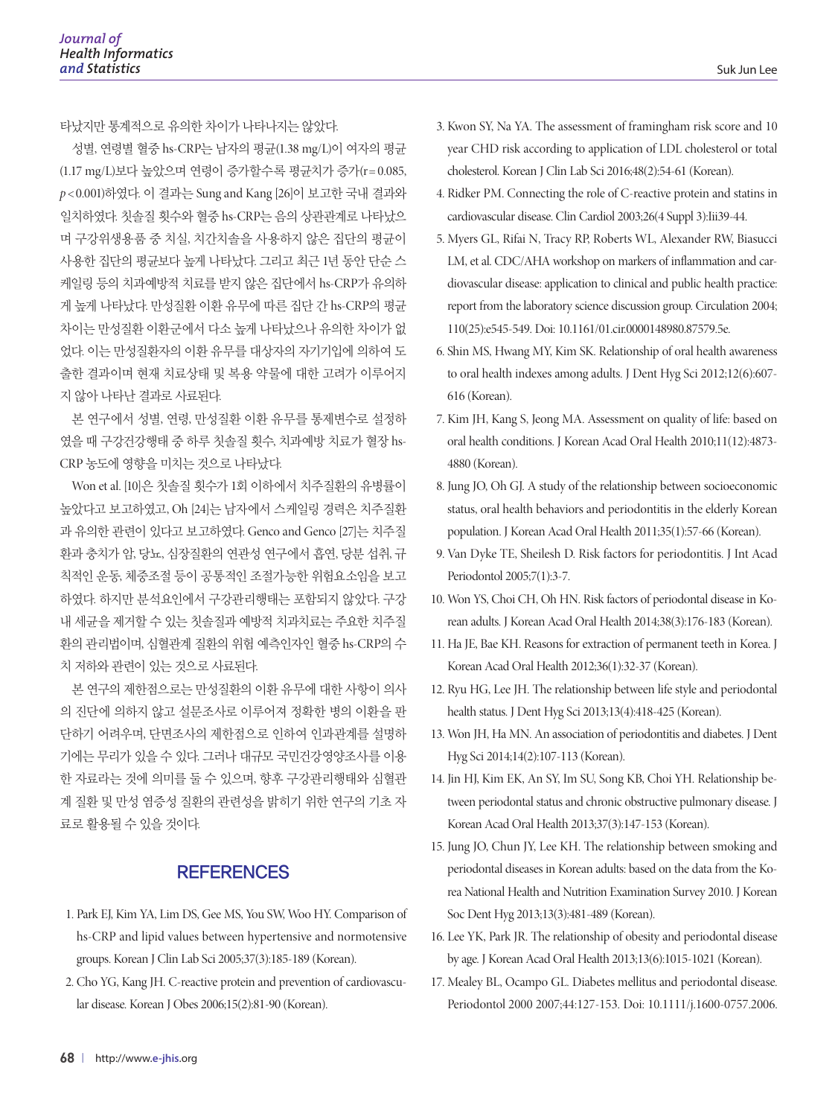타났지만 통계적으로 유의한 차이가 나타나지는 않았다.

성별, 연령별 혈중 hs-CRP는 남자의 평균(1.38 mg/L)이 여자의 평균 (1.17 mg/L)보다 높았으며 연령이 증가할수록 평균치가 증가(r= 0.085, *p* < 0.001)하였다. 이 결과는 Sung and Kang [26]이 보고한 국내 결과와 일치하였다. 칫솔질 횟수와 혈중 hs-CRP는 음의 상관관계로 나타났으 며 구강위생용품 중 치실, 치간치솔을 사용하지 않은 집단의 평균이 사용한 집단의 평균보다 높게 나타났다. 그리고 최근 1년 동안 단순 스 케일링 등의 치과예방적 치료를 받지 않은 집단에서 hs-CRP가 유의하 게 높게 나타났다. 만성질환 이환 유무에 따른 집단 간 hs-CRP의 평균 차이는 만성질환 이환군에서 다소 높게 나타났으나 유의한 차이가 없 었다. 이는 만성질환자의 이환 유무를 대상자의 자기기입에 의하여 도 출한 결과이며 현재 치료상태 및 복용 약물에 대한 고려가 이루어지 지 않아 나타난 결과로 사료된다.

본 연구에서 성별, 연령, 만성질환 이환 유무를 통제변수로 설정하 였을 때 구강건강행태 중 하루 칫솔질 횟수, 치과예방 치료가 혈장 hs-CRP 농도에 영향을 미치는 것으로 나타났다.

Won et al. [10]은 칫솔질 횟수가 1회 이하에서 치주질환의 유병률이 높았다고 보고하였고, Oh [24]는 남자에서 스케일링 경력은 치주질환 과 유의한 관련이 있다고 보고하였다. Genco and Genco [27]는 치주질 환과 충치가 암, 당뇨, 심장질환의 연관성 연구에서 흡연, 당분 섭취, 규 칙적인 운동, 체중조절 등이 공통적인 조절가능한 위험요소임을 보고 하였다. 하지만 분석요인에서 구강관리행태는 포함되지 않았다. 구강 내 세균을 제거할 수 있는 칫솔질과 예방적 치과치료는 주요한 치주질 환의 관리법이며, 심혈관계 질환의 위험 예측인자인 혈중 hs-CRP의 수 치 저하와 관련이 있는 것으로 사료된다.

본 연구의 제한점으로는 만성질환의 이환 유무에 대한 사항이 의사 의 진단에 의하지 않고 설문조사로 이루어져 정확한 병의 이환을 판 단하기 어려우며, 단면조사의 제한점으로 인하여 인과관계를 설명하 기에는 무리가 있을 수 있다. 그러나 대규모 국민건강영양조사를 이용 한 자료라는 것에 의미를 둘 수 있으며, 향후 구강관리행태와 심혈관 계 질환 및 만성 염증성 질환의 관련성을 밝히기 위한 연구의 기초 자 료로 활용될 수 있을 것이다.

# **REFERENCES**

- 1. Park EJ, Kim YA, Lim DS, Gee MS, You SW, Woo HY. Comparison of hs-CRP and lipid values between hypertensive and normotensive groups. Korean J Clin Lab Sci 2005;37(3):185-189 (Korean).
- 2. Cho YG, Kang JH. C-reactive protein and prevention of cardiovascular disease. Korean J Obes 2006;15(2):81-90 (Korean).
- 3. Kwon SY, Na YA. The assessment of framingham risk score and 10 year CHD risk according to application of LDL cholesterol or total cholesterol. Korean J Clin Lab Sci 2016;48(2):54-61 (Korean).
- 4. Ridker PM. Connecting the role of C-reactive protein and statins in cardiovascular disease. Clin Cardiol 2003;26(4 Suppl 3):Iii39-44.
- 5. Myers GL, Rifai N, Tracy RP, Roberts WL, Alexander RW, Biasucci LM, et al. CDC/AHA workshop on markers of inflammation and cardiovascular disease: application to clinical and public health practice: report from the laboratory science discussion group. Circulation 2004; 110(25):e545-549. Doi: 10.1161/01.cir.0000148980.87579.5e.
- 6. Shin MS, Hwang MY, Kim SK. Relationship of oral health awareness to oral health indexes among adults. J Dent Hyg Sci 2012;12(6):607- 616 (Korean).
- 7. Kim JH, Kang S, Jeong MA. Assessment on quality of life: based on oral health conditions. J Korean Acad Oral Health 2010;11(12):4873- 4880 (Korean).
- 8. Jung JO, Oh GJ. A study of the relationship between socioeconomic status, oral health behaviors and periodontitis in the elderly Korean population. J Korean Acad Oral Health 2011;35(1):57-66 (Korean).
- 9. Van Dyke TE, Sheilesh D. Risk factors for periodontitis. J Int Acad Periodontol 2005;7(1):3-7.
- 10. Won YS, Choi CH, Oh HN. Risk factors of periodontal disease in Korean adults. J Korean Acad Oral Health 2014;38(3):176-183 (Korean).
- 11. Ha JE, Bae KH. Reasons for extraction of permanent teeth in Korea. J Korean Acad Oral Health 2012;36(1):32-37 (Korean).
- 12. Ryu HG, Lee JH. The relationship between life style and periodontal health status. J Dent Hyg Sci 2013;13(4):418-425 (Korean).
- 13. Won JH, Ha MN. An association of periodontitis and diabetes. J Dent Hyg Sci 2014;14(2):107-113 (Korean).
- 14. Jin HJ, Kim EK, An SY, Im SU, Song KB, Choi YH. Relationship between periodontal status and chronic obstructive pulmonary disease. J Korean Acad Oral Health 2013;37(3):147-153 (Korean).
- 15. Jung JO, Chun JY, Lee KH. The relationship between smoking and periodontal diseases in Korean adults: based on the data from the Korea National Health and Nutrition Examination Survey 2010. J Korean Soc Dent Hyg 2013;13(3):481-489 (Korean).
- 16. Lee YK, Park JR. The relationship of obesity and periodontal disease by age. J Korean Acad Oral Health 2013;13(6):1015-1021 (Korean).
- 17. Mealey BL, Ocampo GL. Diabetes mellitus and periodontal disease. Periodontol 2000 2007;44:127-153. Doi: 10.1111/j.1600-0757.2006.